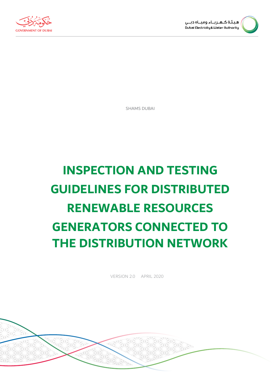



SHAMS DUBAI

# **INSPECTION AND TESTING GUIDELINES FOR DISTRIBUTED RENEWABLE RESOURCES GENERATORS CONNECTED TO THE DISTRIBUTION NETWORK**

VERSION 2.0 APRIL 2020

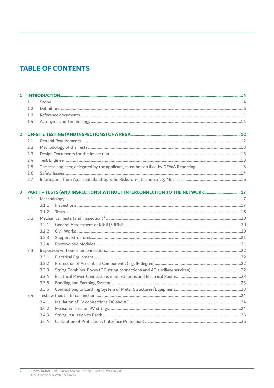### **TABLE OF CONTENTS**

| 1                       |     |       |  |  |  |
|-------------------------|-----|-------|--|--|--|
|                         | 1.1 |       |  |  |  |
|                         | 1.2 |       |  |  |  |
|                         | 1.3 |       |  |  |  |
|                         | 1.4 |       |  |  |  |
| $\overline{\mathbf{2}}$ |     |       |  |  |  |
|                         | 2.1 |       |  |  |  |
|                         | 2.2 |       |  |  |  |
|                         | 2.3 |       |  |  |  |
|                         | 2.4 |       |  |  |  |
|                         | 2.5 |       |  |  |  |
|                         | 2.6 |       |  |  |  |
|                         | 2.7 |       |  |  |  |
| 3                       |     |       |  |  |  |
|                         | 3.1 |       |  |  |  |
|                         |     | 3.1.1 |  |  |  |
|                         |     | 3.1.2 |  |  |  |
|                         | 3.2 |       |  |  |  |
|                         |     | 3.2.1 |  |  |  |
|                         |     | 3.2.2 |  |  |  |
|                         |     | 3.2.3 |  |  |  |
|                         |     | 3.2.4 |  |  |  |
|                         | 3.3 |       |  |  |  |
|                         |     | 3.3.1 |  |  |  |
|                         |     | 3.3.2 |  |  |  |
|                         |     | 3.3.3 |  |  |  |
|                         |     | 3.3.4 |  |  |  |
|                         |     | 3.3.5 |  |  |  |
|                         |     | 3.3.6 |  |  |  |
|                         | 3.4 |       |  |  |  |
|                         |     | 3.4.1 |  |  |  |
|                         |     | 3.4.2 |  |  |  |
|                         |     | 3.4.3 |  |  |  |
|                         |     | 3.4.4 |  |  |  |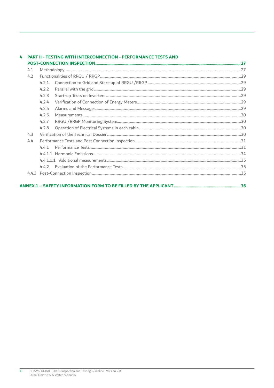#### 4 PART II - TESTING WITH INTERCONNECTION - PERFORMANCE TESTS AND

| 4.2 |       |  | 29  |  |  |
|-----|-------|--|-----|--|--|
|     | 4.2.1 |  |     |  |  |
|     | 4.2.2 |  |     |  |  |
|     | 4.2.3 |  |     |  |  |
|     | 4.2.4 |  |     |  |  |
|     | 4.2.5 |  |     |  |  |
|     |       |  | 30  |  |  |
|     |       |  | 30  |  |  |
|     |       |  | .30 |  |  |
| 4.3 |       |  |     |  |  |
| 4.4 |       |  |     |  |  |
|     |       |  |     |  |  |
|     |       |  |     |  |  |
|     |       |  | 35  |  |  |
|     |       |  | .35 |  |  |
|     |       |  | 35  |  |  |
|     |       |  |     |  |  |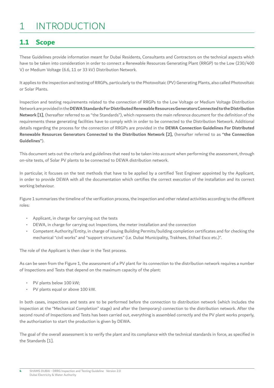## <span id="page-3-0"></span>1 INTRODUCTION

### **1.1 Scope**

These Guidelines provide information meant for Dubai Residents, Consultants and Contractors on the technical aspects which have to be taken into consideration in order to connect a Renewable Resources Generating Plant (RRGP) to the Low (230/400 V) or Medium Voltage (6.6, 11 or 33 kV) Distribution Network.

It applies to the inspection and testing of RRGPs, particularly to the Photovoltaic (PV) Generating Plants, also called Photovoltaic or Solar Plants.

Inspection and testing requirements related to the connection of RRGPs to the Low Voltage or Medium Voltage Distribution Network are provided in the **DEWA Standards For Distributed Renewable Resources Generators Connected to the Distribution Network [1]**, (hereafter referred to as "the Standards"), which represents the main reference document for the defnition of the requirements these generating facilities have to comply with in order to be connected to the Distribution Network. Additional details regarding the process for the connection of RRGPs are provided in the **DEWA Connection Guidelines For Distributed Renewable Resources Generators Connected to the Distribution Network [2],** (hereafter referred to as **"the Connection Guidelines"**).

This document sets out the criteria and guidelines that need to be taken into account when performing the assessment, through on-site tests, of Solar PV plants to be connected to DEWA distribution network.

In particular, it focuses on the test methods that have to be applied by a certifed Test Engineer appointed by the Applicant, in order to provide DEWA with all the documentation which certifes the correct execution of the installation and its correct working behaviour.

Figure 1 summarizes the timeline of the verifcation process, the inspection and other related activities according to the different roles:

- Applicant, in charge for carrying out the tests
- DEWA, in charge for carrying out Inspections, the meter installation and the connection
- Competent Authority/Entity, in charge of issuing Building Permits/building completion certifcates and for checking the mechanical "civil works" and "support structures" (i.e. Dubai Municipality, Trakhees, Etihad Esco etc.)".

The role of the Applicant is then clear in the Test process.

As can be seen from the Figure 1, the assessment of a PV plant for its connection to the distribution network requires a number of Inspections and Tests that depend on the maximum capacity of the plant:

PV plants below 100 kW;

**4** 

PV plants equal or above 100 kW.

In both cases, inspections and tests are to be performed before the connection to distribution network (which includes the inspection at the "Mechanical Completion" stage) and after the (temporary) connection to the distribution network. After the second round of Inspections and Tests has been carried out, everything is assembled correctly and the PV plant works properly, the authorization to start the production is given by DEWA.

The goal of the overall assessment is to verify the plant and its compliance with the technical standards in force, as specifed in the Standards [1].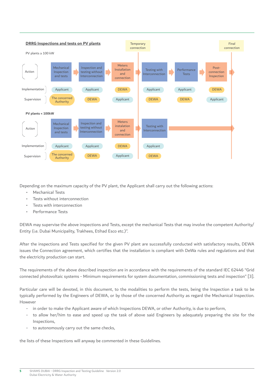

Depending on the maximum capacity of the PV plant, the Applicant shall carry out the following actions:

- Mechanical Tests
- Tests without interconnection
- Tests with interconnection
- Performance Tests

DEWA may supervise the above inspections and Tests, except the mechanical Tests that may involve the competent Authority/ Entity (i.e. Dubai Municipality, Trakhees, Etihad Esco etc.)".

After the inspections and Tests specified for the given PV plant are successfully conducted with satisfactory results, DEWA issues the Connection agreement, which certifes that the installation is compliant with DeWa rules and regulations and that the electricity production can start.

The requirements of the above described inspection are in accordance with the requirements of the standard IEC 62446 "Grid connected photovoltaic systems - Minimum requirements for system documentation, commissioning tests and inspection" [3].

Particular care will be devoted, in this document, to the modalities to perform the tests, being the Inspection a task to be typically performed by the Engineers of DEWA, or by those of the concerned Authority as regard the Mechanical Inspection. However

- in order to make the Applicant aware of which Inspections DEWA, or other Authority, is due to perform,
- to allow her/him to ease and speed up the task of above said Engineers by adequately preparing the site for the Inspections,
- to autonomously carry out the same checks,

the lists of these Inspections will anyway be commented in these Guidelines.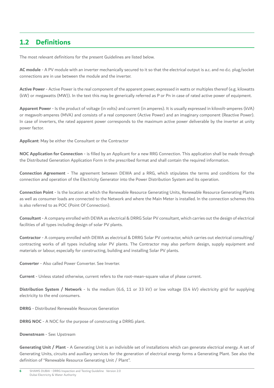### <span id="page-5-0"></span>**1.2 Definitions**

The most relevant definitions for the present Guidelines are listed below.

**AC module** - A PV module with an inverter mechanically secured to it so that the electrical output is a.c. and no d.c. plug/socket connections are in use between the module and the inverter.

**Active Power** - Active Power is the real component of the apparent power, expressed in watts or multiples thereof (e.g. kilowatts (kW) or megawatts (MW)). In the text this may be generically referred as P or Pn in case of rated active power of equipment.

**Apparent Power** - Is the product of voltage (in volts) and current (in amperes). It is usually expressed in kilovolt-amperes (kVA) or megavolt-amperes (MVA) and consists of a real component (Active Power) and an imaginary component (Reactive Power). In case of inverters, the rated apparent power corresponds to the maximum active power deliverable by the inverter at unity power factor.

**Applicant**: May be either the Consultant or the Contractor

**NOC Application for Connection** - is flled by an Applicant for a new RRG Connection. This application shall be made through the Distributed Generation Application Form in the prescribed format and shall contain the required information.

**Connection Agreement** - The agreement between DEWA and a RRG, which stipulates the terms and conditions for the connection and operation of the Electricity Generator into the Power Distribution System and its operation.

**Connection Point** - Is the location at which the Renewable Resource Generating Units, Renewable Resource Generating Plants as well as consumer loads are connected to the Network and where the Main Meter is installed. In the connection schemes this is also referred to as POC (Point Of Connection).

**Consultant** - A company enrolled with DEWA as electrical & DRRG Solar PV consultant, which carries out the design of electrical facilities of all types including design of solar PV plants.

**Contractor** - A company enrolled with DEWA as electrical & DRRG Solar PV contractor, which carries out electrical consulting/ contracting works of all types including solar PV plants. The Contractor may also perform design, supply equipment and materials or labour, especially for constructing, building and installing Solar PV plants.

**Converter** - Also called Power Converter. See Inverter.

**Current** - Unless stated otherwise, current refers to the root-mean-square value of phase current.

**Distribution System / Network** - Is the medium (6.6, 11 or 33 kV) or low voltage (0.4 kV) electricity grid for supplying electricity to the end consumers.

**DRRG** - Distributed Renewable Resources Generation

**DRRG NOC** - A NOC for the purpose of constructing a DRRG plant.

**Downstream** - See: Upstream

**Generating Unit / Plant** - A Generating Unit is an indivisible set of installations which can generate electrical energy. A set of Generating Units, circuits and auxiliary services for the generation of electrical energy forms a Generating Plant. See also the definition of "Renewable Resource Generating Unit / Plant".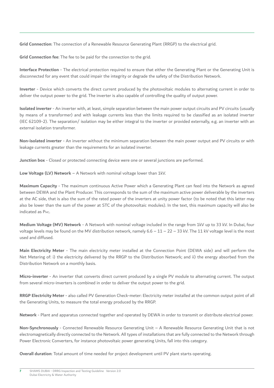**Grid Connection**: The connection of a Renewable Resource Generating Plant (RRGP) to the electrical grid.

**Grid Connection fee**: The fee to be paid for the connection to the grid.

**Interface Protection** - The electrical protection required to ensure that either the Generating Plant or the Generating Unit is disconnected for any event that could impair the integrity or degrade the safety of the Distribution Network.

**Inverter** - Device which converts the direct current produced by the photovoltaic modules to alternating current in order to deliver the output power to the grid. The inverter is also capable of controlling the quality of output power.

**Isolated inverter** - An inverter with, at least, simple separation between the main power output circuits and PV circuits (usually by means of a transformer) and with leakage currents less than the limits required to be classifed as an isolated inverter (IEC 62109-2). The separation/ isolation may be either integral to the inverter or provided externally, e.g. an inverter with an external isolation transformer.

**Non-isolated inverter** - An inverter without the minimum separation between the main power output and PV circuits or with leakage currents greater than the requirements for an isolated inverter.

**Junction box** - Closed or protected connecting device were one or several junctions are performed.

**Low Voltage (LV) Network** – A Network with nominal voltage lower than 1kV.

**Maximum Capacity** - The maximum continuous Active Power which a Generating Plant can feed into the Network as agreed between DEWA and the Plant Producer. This corresponds to the sum of the maximum active power deliverable by the inverters at the AC side, that is also the sum of the rated power of the inverters at unity power factor (to be noted that this latter may also be lower than the sum of the power at STC of the photovoltaic modules). In the text, this maximum capacity will also be indicated as PMC.

**Medium Voltage (MV) Network** - A Network with nominal voltage included in the range from 1kV up to 33 kV. In Dubai, four voltage levels may be found on the MV distribution network, namely  $6.6 - 11 - 22 - 33$  kV. The 11 kV voltage level is the most used and diffused.

**Main Electricity Meter** - The main electricity meter installed at the Connection Point (DEWA side) and will perform the Net Metering of: i) the electricity delivered by the RRGP to the Distribution Network; and ii) the energy absorbed from the Distribution Network on a monthly basis.

**Micro-inverter** - An inverter that converts direct current produced by a single PV module to alternating current. The output from several micro-inverters is combined in order to deliver the output power to the grid.

**RRGP Electricity Meter** - also called PV Generation Check-meter: Electricity meter installed at the common output point of all the Generating Units, to measure the total energy produced by the RRGP.

**Network** - Plant and apparatus connected together and operated by DEWA in order to transmit or distribute electrical power.

**Non-Synchronously** - Connected Renewable Resource Generating Unit – A Renewable Resource Generating Unit that is not electromagnetically directly connected to the Network. All types of installations that are fully connected to the Network through Power Electronic Converters, for instance photovoltaic power generating Units, fall into this category.

**Overall duration**: Total amount of time needed for project development until PV plant starts operating.

**7**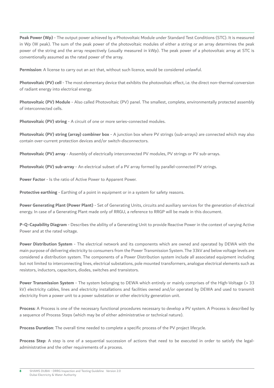**Peak Power (Wp)** - The output power achieved by a Photovoltaic Module under Standard Test Conditions (STC). It is measured in Wp (W peak). The sum of the peak power of the photovoltaic modules of either a string or an array determines the peak power of the string and the array respectively (usually measured in kWp). The peak power of a photovoltaic array at STC is conventionally assumed as the rated power of the array.

**Permission**: A license to carry out an act that, without such licence, would be considered unlawful.

Photovoltaic (PV) cell - The most elementary device that exhibits the photovoltaic effect, i.e. the direct non-thermal conversion of radiant energy into electrical energy.

**Photovoltaic (PV) Module** - Also called Photovoltaic (PV) panel. The smallest, complete, environmentally protected assembly of interconnected cells.

**Photovoltaic (PV) string** - A circuit of one or more series-connected modules.

**Photovoltaic (PV) string (array) combiner box** - A junction box where PV strings (sub-arrays) are connected which may also contain over-current protection devices and/or switch-disconnectors.

**Photovoltaic (PV) array** - Assembly of electrically interconnected PV modules, PV strings or PV sub-arrays.

**Photovoltaic (PV) sub-array** - An electrical subset of a PV array formed by parallel-connected PV strings.

**Power Factor** - Is the ratio of Active Power to Apparent Power.

**Protective earthing** - Earthing of a point in equipment or in a system for safety reasons.

**Power Generating Plant (Power Plant)** - Set of Generating Units, circuits and auxiliary services for the generation of electrical energy. In case of a Generating Plant made only of RRGU, a reference to RRGP will be made in this document.

**P-Q-Capability Diagram** - Describes the ability of a Generating Unit to provide Reactive Power in the context of varying Active Power and at the rated voltage.

**Power Distribution System** - The electrical network and its components which are owned and operated by DEWA with the main purpose of delivering electricity to consumers from the Power Transmission System. The 33kV and below voltage levels are considered a distribution system. The components of a Power Distribution system include all associated equipment including but not limited to interconnecting lines, electrical substations, pole mounted transformers, analogue electrical elements such as resistors, inductors, capacitors, diodes, switches and transistors.

**Power Transmission System** - The system belonging to DEWA which entirely or mainly comprises of the High-Voltage (> 33 kV) electricity cables, lines and electricity installations and facilities owned and/or operated by DEWA and used to transmit electricity from a power unit to a power substation or other electricity generation unit.

**Process**: A Process is one of the necessary functional procedures necessary to develop a PV system. A Process is described by a sequence of Process Steps (which may be of either administrative or technical nature).

**Process Duration:** The overall time needed to complete a specific process of the PV project lifecycle.

**Process Step**: A step is one of a sequential succession of actions that need to be executed in order to satisfy the legaladministrative and the other requirements of a process.

**8**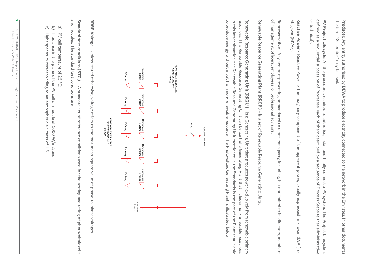the term "Generator" may be used. the term "Generator" may be used. **Producer**: Any entity authorised by DEWA to produce electricity connected to the network in the Emirates. In other documents : Any entity authorised by DEWA to produce electricity connected to the network in the Emirates. In other documents

or technical). or technical). defined as a sequential succession of Processes, each of them described by a sequence of Process Steps (either administrative defned as a sequential succession of Processes, each of them described by a sequence of Process Steps (either administrative PV Project Lifecycle: All the procedures required to authorise, install and finally connect a PV system. The Project Lifecycle is **PV Project Lifecycle** : All the procedures required to authorise, install and fnally connect a PV system. The Project Lifecycle is

Megavar (MVAr). Megavar (MVAr). **Reactive Power** Reactive Power - Reactive Power is the imaginary component of the apparent power, usually expressed in kilovar (kVAr) or - Reactive Power is the imaginary component of the apparent power, usually expressed in kilovar (kVAr) or

of management, officers, employees, or professional advisors of management, officers, employees, or professional advisors. Representative - Any person representing or mandated to represent a party, including, but not limited to its directors, members **Representative** - Any person representing or mandated to represent a party, including, but not limited to its directors, members

Renewable Resource Generating Plant (RRGP) - Is a set of Renewable Resource Generating Units **Renewable Resource Generating Plant (RRGP )** - Is a set of Renewable Resource Generating Units.

to produce energy without input from non-renewable resource. The Photovoltaic Generating Plant is illustrated below: to produce energy without input from non-renewable resource. The Photovoltaic Generating Plant is illustrated below: In this latter situation, the Renewable Resource Generating Unit mentioned in the Standards is the part of the Plant that is able In this latter situation, the Renewable Resource Generating Unit mentioned in the Standards is the part of the Plant that is able resources. This Renewable Resource Generating Unit can be part of a Generating Plant that includes non-renewable resources. resources. This Renewable Resource Generating Unit can be part of a Generating Plant that includes non-renewable resources. Renewable Resource Generating Unit (RRGU) - Is a Generating Unit that produces power exclusively from renewable primary **Renewable Resource Generating Unit (RRGU )** - Is a Generating Unit that produces power exclusively from renewable primary



RRGP Voltage - Unless stated otherwise, voltage refers to the root-mean-square value of phase-to-phase voltages **RRGP Voltage** - Unless stated otherwise, voltage refers to the root-mean-square value of phase-to-phase voltages.

and modules. The standard test conditions are: and modules. The standard test conditions are: Standard test conditions (STC) - A standard set of reference conditions used for the testing and rating of photovoltaic cells **Standard test conditions (STC )** – A standard set of reference conditions used for the testing and rating of photovoltaic cells

- $\widehat{\sigma}$ a) PV cell temperature of 25 °C; PV cell temperature of 25 °C;
- b) Irradiance in the plane of the PV cell or module of 1000 W/m2; and Irradiance in the plane of the PV cell or module of 1000 W/m2; and
- $C$   $C$ c) Light spectrum corresponding to an atmospheric air mass of 1,5. Light spectrum corresponding to an atmospheric air mass of 1,5

**9**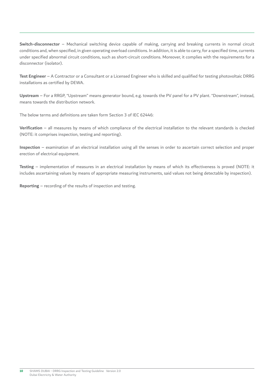**Switch-disconnector** – Mechanical switching device capable of making, carrying and breaking currents in normal circuit conditions and, when specifed, in given operating overload conditions. In addition, it is able to carry, for a specifed time, currents under specifed abnormal circuit conditions, such as short-circuit conditions. Moreover, it complies with the requirements for a disconnector (isolator).

**Test Engineer** – A Contractor or a Consultant or a Licensed Engineer who is skilled and qualifed for testing photovoltaic DRRG installations as certifed by DEWA.

**Upstream** – For a RRGP, "Upstream" means generator bound, e.g. towards the PV panel for a PV plant. "Downstream", instead, means towards the distribution network.

The below terms and definitions are taken form Section 3 of IEC 62446:

**Verifcation** – all measures by means of which compliance of the electrical installation to the relevant standards is checked (NOTE: it comprises inspection, testing and reporting).

**Inspection** – examination of an electrical installation using all the senses in order to ascertain correct selection and proper erection of electrical equipment.

**Testing** – implementation of measures in an electrical installation by means of which its effectiveness is proved (NOTE: it includes ascertaining values by means of appropriate measuring instruments, said values not being detectable by inspection).

**Reporting** – recording of the results of inspection and testing.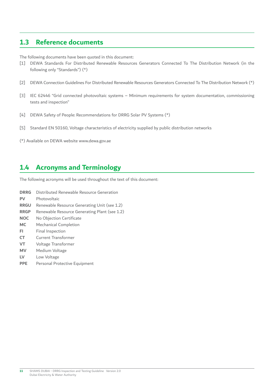### <span id="page-10-0"></span>**1.3 Reference documents**

The following documents have been quoted in this document:

- [1] DEWA Standards For Distributed Renewable Resources Generators Connected To The Distribution Network (in the following only "Standards") (\*)
- $[2]$ [2] DEWA Connection Guidelines For Distributed Renewable Resources Generators Connected To The Distribution Network (\*)
- [3] IEC 62446 "Grid connected photovoltaic systems Minimum requirements for system documentation, commissioning tests and inspection"
- [4] DEWA Safety of People: Recommendations for DRRG Solar PV Systems (\*)
- [5] Standard EN 50160, Voltage characteristics of electricity supplied by public distribution networks
- (\*) Available on DEWA website<www.dewa.gov.ae>

### **1.4 Acronyms and Terminology**

The following acronyms will be used throughout the text of this document:

- **DRRG** Distributed Renewable Resource Generation **PV** Photovoltaic **RRGU** Renewable Resource Generating Unit (see 1.2) **RRGP** Renewable Resource Generating Plant (see 1.2) **NOC** No Objection Certificate **MC** Mechanical Completion
- **FI** Final Inspection
- **CT** Current Transformer
- **VT** Voltage Transformer
- **MV** Medium Voltage
- **LV** Low Voltage
- **PPE** Personal Protective Equipment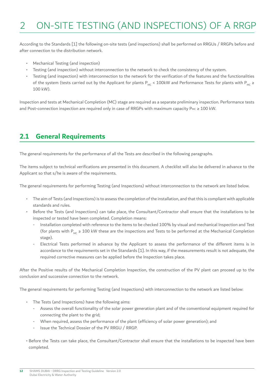## <span id="page-11-0"></span>2 ON-SITE TESTING (AND INSPECTIONS) OF A RRGP

According to the Standards [1] the following on-site tests (and inspections) shall be performed on RRGUs / RRGPs before and after connection to the distribution network.

- Mechanical Testing (and inspection)
- Testing (and inspection) without interconnection to the network to check the consistency of the system.
- Testing (and inspection) with interconnection to the network for the verifcation of the features and the functionalities of the system (tests carried out by the Applicant for plants P<sub>MC</sub> < 100kW and Performance Tests for plants with P<sub>MC</sub> ≥ 100 kW).

Inspection and tests at Mechanical Completion (MC) stage are required as a separate preliminary inspection. Performance tests and Post-connection inspection are required only in case of RRGPs with maximum capacity PMC ≥ 100 kW.

### **2.1 General Requirements**

The general requirements for the performance of all the Tests are described in the following paragraphs.

The items subject to technical verifcations are presented in this document. A checklist will also be delivered in advance to the Applicant so that s/he is aware of the requirements.

The general requirements for performing Testing (and Inspections) without interconnection to the network are listed below.

- The aim of Tests (and Inspections) is to assess the completion of the installation, and that this is compliant with applicable standards and rules.
- Before the Tests (and Inspections) can take place, the Consultant/Contractor shall ensure that the installations to be inspected or tested have been completed. Completion means:
	- Installation completed with reference to the items to be checked 100% by visual and mechanical Inspection and Test (for plants with  $P_{MC} \ge 100$  kW these are the inspections and Tests to be performed at the Mechanical Completion stage).
	- Electrical Tests performed in advance by the Applicant to assess the performance of the different items is in accordance to the requirements set in the Standards [1]. In this way, if the measurements result is not adequate, the required corrective measures can be applied before the Inspection takes place.

After the Positive results of the Mechanical Completion Inspection, the construction of the PV plant can proceed up to the conclusion and successive connection to the network.

The general requirements for performing Testing (and Inspections) with interconnection to the network are listed below:

- The Tests (and Inspections) have the following aims:
	- Assess the overall functionality of the solar power generation plant and of the conventional equipment required for connecting the plant to the grid;
	- When required, assess the performance of the plant (efficiency of solar power generation); and
	- Issue the Technical Dossier of the PV RRGU / RRGP.
- Before the Tests can take place, the Consultant/Contractor shall ensure that the installations to be inspected have been completed.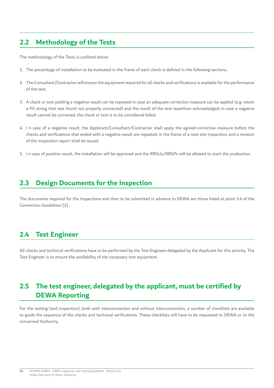### <span id="page-12-0"></span>**2.2 Methodology of the Tests**

The methodology of the Tests is outlined below:

- 1. The percentage of installation to be evaluated in the frame of each check is defned in the following sections.
- 2. The Consultant/Contractor will ensure the equipment required for all checks and verifcations is available for the performance of the test.
- 3. A check or test yielding a negative result can be repeated in case an adequate correction measure can be applied (e.g. retest a PV string that was found not properly connected) and the result of the test repetition acknowledged; in case a negative result cannot be corrected, the check or test is to be considered failed.
- 4. I n case of a negative result, the Applicant/Consultant/Contractor shall apply the agreed corrective measure before the checks and verifcations that ended with a negative result are repeated, in the frame of a next site inspection, and a revision of the inspection report shall be issued.
- 5. I n case of positive result, the installation will be approved and the RRGUs/RRGPs will be allowed to start the production.

### **2.3 Design Documents for the Inspection**

The documents required for the Inspections and then to be submitted in advance to DEWA are those listed at point 3.4 of the Connection Guidelines [2] .

#### **2.4 Test Engineer**

All checks and technical verifcations have to be performed by the Test Engineer delegated by the Applicant for this activity. The Test Engineer is to ensure the availability of the necessary test equipment.

#### **2.5 The test engineer, delegated by the applicant, must be certifed by DEWA Reporting**

For the testing (and inspection), both with interconnection and without interconnection, a number of checklists are available to guide the sequence of the checks and technical verifcations. These checklists will have to be requested to DEWA or to the concerned Authority.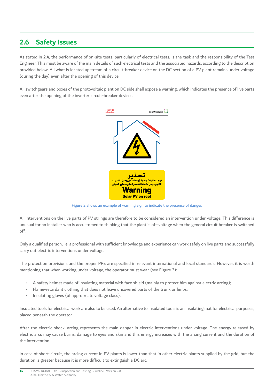### <span id="page-13-0"></span>**2.6 Safety Issues**

As stated in 2.4, the performance of on-site tests, particularly of electrical tests, is the task and the responsibility of the Test Engineer. This must be aware of the main details of such electrical tests and the associated hazards, according to the description provided below. All what is located upstream of a circuit-breaker device on the DC section of a PV plant remains under voltage (during the day) even after the opening of this device.

All switchgears and boxes of the photovoltaic plant on DC side shall expose a warning, which indicates the presence of live parts even after the opening of the inverter circuit-breaker devices.



Figure 2 shows an example of warning sign to indicate the presence of danger.

All interventions on the live parts of PV strings are therefore to be considered an intervention under voltage. This difference is unusual for an installer who is accustomed to thinking that the plant is off-voltage when the general circuit breaker is switched off.

Only a qualified person, i.e. a professional with sufficient knowledge and experience can work safely on live parts and successfully carry out electric interventions under voltage.

The protection provisions and the proper PPE are specifed in relevant international and local standards. However, it is worth mentioning that when working under voltage, the operator must wear (see Figure 3):

- A safety helmet made of insulating material with face shield (mainly to protect him against electric arcing);
- Flame-retardant clothing that does not leave uncovered parts of the trunk or limbs;
- Insulating gloves (of appropriate voltage class).

Insulated tools for electrical work are also to be used. An alternative to insulated tools is an insulating mat for electrical purposes, placed beneath the operator.

After the electric shock, arcing represents the main danger in electric interventions under voltage. The energy released by electric arcs may cause burns, damage to eyes and skin and this energy increases with the arcing current and the duration of the intervention.

In case of short-circuit, the arcing current in PV plants is lower than that in other electric plants supplied by the grid, but the duration is greater because it is more difficult to extinguish a DC arc.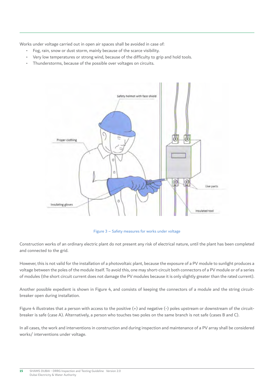Works under voltage carried out in open air spaces shall be avoided in case of:

- Fog, rain, snow or dust storm, mainly because of the scarce visibility.
- Very low temperatures or strong wind, because of the difficulty to grip and hold tools.
- Thunderstorms, because of the possible over voltages on circuits.



Figure 3 – Safety measures for works under voltage

Construction works of an ordinary electric plant do not present any risk of electrical nature, until the plant has been completed and connected to the grid.

However, this is not valid for the installation of a photovoltaic plant, because the exposure of a PV module to sunlight produces a voltage between the poles of the module itself. To avoid this, one may short-circuit both connectors of a PV module or of a series of modules (the short circuit current does not damage the PV modules because it is only slightly greater than the rated current).

Another possible expedient is shown in Figure 4, and consists of keeping the connectors of a module and the string circuitbreaker open during installation.

Figure 4 illustrates that a person with access to the positive (+) and negative (-) poles upstream or downstream of the circuitbreaker is safe (case A). Alternatively, a person who touches two poles on the same branch is not safe (cases B and C).

In all cases, the work and interventions in construction and during inspection and maintenance of a PV array shall be considered works/ interventions under voltage.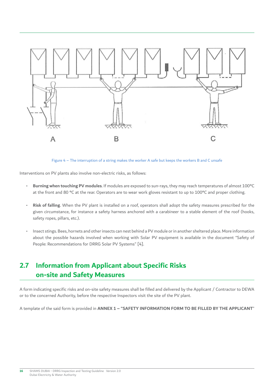<span id="page-15-0"></span>

Figure 4 – The interruption of a string makes the worker A safe but keeps the workers B and C unsafe

Interventions on PV plants also involve non-electric risks, as follows:

- **Burning when touching PV modules**. If modules are exposed to sun-rays, they may reach temperatures of almost 100°C at the front and 80 °C at the rear. Operators are to wear work gloves resistant to up to 100°C and proper clothing.
- **Risk of falling**. When the PV plant is installed on a roof, operators shall adopt the safety measures prescribed for the given circumstance, for instance a safety harness anchored with a carabineer to a stable element of the roof (hooks, safety ropes, pillars, etc.).
- Insect stings. Bees, hornets and other insects can nest behind a PV module or in another sheltered place. More information about the possible hazards involved when working with Solar PV equipment is available in the document "Safety of People: Recommendations for DRRG Solar PV Systems" [4].

#### $2.7$ **1nformation from Applicant about Specific Risks on-site and Safety Measures**

A form indicating specific risks and on-site safety measures shall be filled and delivered by the Applicant / Contractor to DEWA or to the concerned Authority, before the respective Inspectors visit the site of the PV plant.

A template of the said form is provided in **ANNEX 1 – "SAFETY INFORMATION FORM TO BE FILLED BY THE APPLICANT**"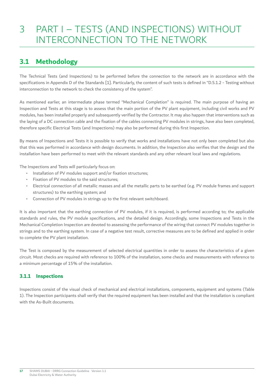### <span id="page-16-0"></span>3 PART I – TESTS (AND INSPECTIONS) WITHOUT INTERCONNECTION TO THE NETWORK

### **3.1 Methodology**

The Technical Tests (and Inspections) to be performed before the connection to the network are in accordance with the specifcations in Appendix D of the Standards [1]. Particularly, the content of such tests is defned in "D.5.1.2 - Testing without interconnection to the network to check the consistency of the system".

As mentioned earlier, an intermediate phase termed "Mechanical Completion" is required. The main purpose of having an Inspection and Tests at this stage is to assess that the main portion of the PV plant equipment, including civil works and PV modules, has been installed properly and subsequently verifed by the Contractor. It may also happen that interventions such as the laying of a DC connection cable and the fxation of the cables connecting PV modules in strings, have also been completed, therefore specific Electrical Tests (and Inspections) may also be performed during this first Inspection.

By means of Inspections and Tests it is possible to verify that works and installations have not only been completed but also that this was performed in accordance with design documents. In addition, the Inspection also verifes that the design and the installation have been performed to meet with the relevant standards and any other relevant local laws and regulations.

The Inspections and Tests will particularly focus on:

- Installation of PV modules support and/or fixation structures:
- Fixation of PV modules to the said structures;
- Electrical connection of all metallic masses and all the metallic parts to be earthed (e.g. PV module frames and support structures) to the earthing system; and
- Connection of PV modules in strings up to the first relevant switchboard.

It is also important that the earthing connection of PV modules, if it is required, is performed according to; the applicable standards and rules, the PV module specifcations, and the detailed design. Accordingly, some Inspections and Tests in the Mechanical Completion Inspection are devoted to assessing the performance of the wiring that connect PV modules together in strings and to the earthing system. In case of a negative test result, corrective measures are to be defned and applied in order to complete the PV plant installation.

The Test is composed by the measurement of selected electrical quantities in order to assess the characteristics of a given circuit. Most checks are required with reference to 100% of the installation, some checks and measurements with reference to a minimum percentage of 15% of the installation.

### **3.1.1 Inspections**

Inspections consist of the visual check of mechanical and electrical installations, components, equipment and systems (Table 1). The Inspection participants shall verify that the required equipment has been installed and that the installation is compliant with the As-Built documents.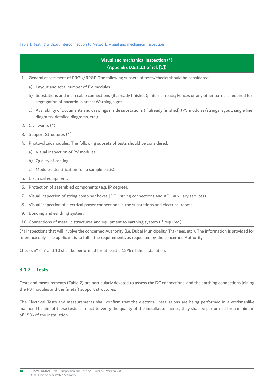#### <span id="page-17-0"></span>Table 1: Testing without interconnection to Network: Visual and mechanical Inspection

| Visual and mechanical inspection (*)<br>(Appendix D.5.1.2.1 of ref. [1]) |                                                                                                                                                                              |  |  |  |  |
|--------------------------------------------------------------------------|------------------------------------------------------------------------------------------------------------------------------------------------------------------------------|--|--|--|--|
| 1.                                                                       | General assessment of RRGU/RRGP. The following subsets of tests/checks should be considered:                                                                                 |  |  |  |  |
|                                                                          | a) Layout and total number of PV modules.                                                                                                                                    |  |  |  |  |
|                                                                          | b) Substations and main cable connections (if already finished); Internal roads; Fences or any other barriers required for<br>segregation of hazardous areas; Warning signs. |  |  |  |  |
|                                                                          | Availability of documents and drawings inside substations (if already finished) (PV modules/strings layout, single line<br>c)<br>diagrams, detailed diagrams, etc.).         |  |  |  |  |
| 2.                                                                       | Civil works (*).                                                                                                                                                             |  |  |  |  |
| 3.                                                                       | Support Structures (*).                                                                                                                                                      |  |  |  |  |
| 4.                                                                       | Photovoltaic modules. The following subsets of tests should be considered.                                                                                                   |  |  |  |  |
|                                                                          | a) Visual inspection of PV modules.                                                                                                                                          |  |  |  |  |
|                                                                          | b) Quality of cabling.                                                                                                                                                       |  |  |  |  |
|                                                                          | c) Modules identification (on a sample basis).                                                                                                                               |  |  |  |  |
| 5.                                                                       | Electrical equipment.                                                                                                                                                        |  |  |  |  |
| 6.                                                                       | Protection of assembled components (e.g. IP degree).                                                                                                                         |  |  |  |  |
| 7.                                                                       | Visual inspection of string combiner boxes (DC - string connections and AC - auxiliary services).                                                                            |  |  |  |  |
| 8.                                                                       | Visual inspection of electrical power connections in the substations and electrical rooms.                                                                                   |  |  |  |  |
|                                                                          | 9. Bonding and earthing system.                                                                                                                                              |  |  |  |  |
|                                                                          | 10. Connections of metallic structures and equipment to earthing system (if required).                                                                                       |  |  |  |  |

(\*) Inspections that will involve the concerned Authority (i.e. Dubai Municipality, Trakhees, etc.). The information is provided for reference only. The applicant is to fulfill the requirements as requested by the concerned Authority.

Checks n° 4, 7 and 10 shall be performed for at least a 15% of the installation.

### **3.1.2 Tests**

Tests and measurements (Table 2) are particularly devoted to assess the DC connections, and the earthing connections joining the PV modules and the (metal) support structures.

The Electrical Tests and measurements shall confrm that the electrical installations are being performed in a workmanlike manner. The aim of these tests is in fact to verify the quality of the installation; hence, they shall be performed for a minimum of 15% of the installation.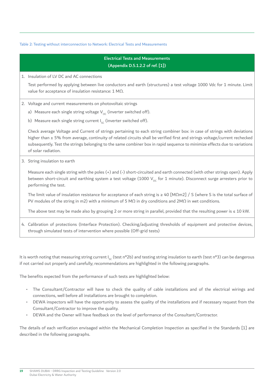#### Table 2: Testing without interconnection to Network: Electrical Tests and Measurements

### 4. Calibration of protections (Interface Protection). Checking/adjusting thresholds of equipment and protective devices, Electrical Tests and Measurements (Appendix D.5.1.2.2 of ref. [1]) 1. Insulation of LV DC and AC connections Test performed by applying between live conductors and earth (structures) a test voltage 1000 Vdc for 1 minute. Limit value for acceptance of insulation resistance: 1 MΩ. 2. Voltage and current measurements on photovoltaic strings a) Measure each single string voltage  $V_{\alpha}$  (inverter switched off). b) Measure each single string current  $I_{\rm sc}$  (inverter switched off). Check average Voltage and Current of strings pertaining to each string combiner box: in case of strings with deviations higher than  $\pm$  5% from average, continuity of related circuits shall be verified first and strings voltage/current rechecked subsequently. Test the strings belonging to the same combiner box in rapid sequence to minimize effects due to variations of solar radiation. 3. String insulation to earth Measure each single string with the poles (+) and (-) short-circuited and earth connected (with other strings open). Apply between short-circuit and earthing system a test voltage (1000  $V_{nc}$  for 1 minute). Disconnect surge arresters prior to performing the test. The limit value of insulation resistance for acceptance of each string is ≥ 40 [MΩm2] / S (where S is the total surface of PV modules of the string in m2) with a minimum of 5 M $\Omega$  in dry conditions and 2M $\Omega$  in wet conditions. The above test may be made also by grouping 2 or more string in parallel, provided that the resulting power is  $\leq 10$  kW. through simulated tests of intervention where possible (Off-grid tests)

It is worth noting that measuring string current  $I_{sc}$  (test n°2b) and testing string insulation to earth (test n°3) can be dangerous if not carried out properly and carefully; recommendations are highlighted in the following paragraphs.

The benefits expected from the performance of such tests are highlighted below:

- The Consultant/Contractor will have to check the quality of cable installations and of the electrical wirings and connections, well before all installations are brought to completion.
- DEWA inspectors will have the opportunity to assess the quality of the installations and if necessary request from the Consultant/Contractor to improve the quality.
- DEWA and the Owner will have feedback on the level of performance of the Consultant/Contractor.

The details of each verifcation envisaged within the Mechanical Completion Inspection as specifed in the Standards [1] are described in the following paragraphs.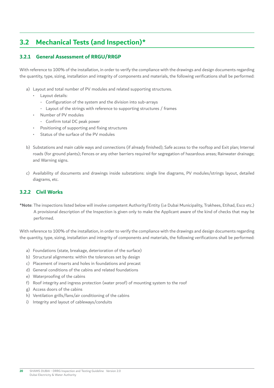### <span id="page-19-0"></span>**3.2 Mechanical Tests (and Inspection)\***

### **3.2.1 General Assessment of RRGU/RRGP**

With reference to 100% of the installation, in order to verify the compliance with the drawings and design documents regarding the quantity, type, sizing, installation and integrity of components and materials, the following verifcations shall be performed:

- a) Layout and total number of PV modules and related supporting structures.
	- Layout details:
		- Configuration of the system and the division into sub-arrays
		- Layout of the strings with reference to supporting structures / frames
	- Number of PV modules
		- Confrm total DC peak power
	- Positioning of supporting and fixing structures
	- Status of the surface of the PV modules
- b) Substations and main cable ways and connections (if already fnished); Safe access to the rooftop and Exit plan; Internal roads (for ground plants); Fences or any other barriers required for segregation of hazardous areas; Rainwater drainage; and Warning signs.
- c) Availability of documents and drawings inside substations: single line diagrams, PV modules/strings layout, detailed diagrams, etc.

### **3.2.2 Civil Works**

**\*Note**: The inspections listed below will involve competent Authority/Entity (i.e Dubai Municipality, Trakhees, Etihad, Esco etc.) A provisional description of the Inspection is given only to make the Applicant aware of the kind of checks that may be performed.

With reference to 100% of the installation, in order to verify the compliance with the drawings and design documents regarding the quantity, type, sizing, installation and integrity of components and materials, the following verifcations shall be performed:

- a) Foundations (state, breakage, deterioration of the surface)
- b) Structural alignments: within the tolerances set by design
- c) Placement of inserts and holes in foundations and precast
- d) General conditions of the cabins and related foundations
- e) Waterproofing of the cabins
- f) Roof integrity and ingress protection (water proof) of mounting system to the roof
- g) Access doors of the cabins
- h) Ventilation grills/fans/air conditioning of the cabins
- i) Integrity and layout of cableways/conduits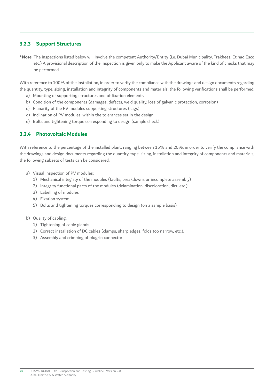### <span id="page-20-0"></span>**3.2.3 Support Structures**

 **\*Note:** The inspections listed below will involve the competent Authority/Entity (i.e. Dubai Municipality, Trakhees, Etihad Esco etc.) A provisional description of the Inspection is given only to make the Applicant aware of the kind of checks that may be performed.

With reference to 100% of the installation, in order to verify the compliance with the drawings and design documents regarding the quantity, type, sizing, installation and integrity of components and materials, the following verifcations shall be performed:

- a) Mounting of supporting structures and of fixation elements
- b) Condition of the components (damages, defects, weld quality, loss of galvanic protection, corrosion)
- c) Planarity of the PV modules supporting structures (sags)
- d) Inclination of PV modules: within the tolerances set in the design
- e) Bolts and tightening torque corresponding to design (sample check)

### **3.2.4 Photovoltaic Modules**

With reference to the percentage of the installed plant, ranging between 15% and 20%, in order to verify the compliance with the drawings and design documents regarding the quantity, type, sizing, installation and integrity of components and materials, the following subsets of tests can be considered:

- a) Visual inspection of PV modules:
	- 1) Mechanical integrity of the modules (faults, breakdowns or incomplete assembly)
	- 2) Integrity functional parts of the modules (delamination, discoloration, dirt, etc.)
	- 3) Labelling of modules
	- 4) Fixation system
	- 5) Bolts and tightening torques corresponding to design (on a sample basis)

#### b) Quality of cabling:

- 1) Tightening of cable glands
- 2) Correct installation of DC cables (clamps, sharp edges, folds too narrow, etc.).
- 3) Assembly and crimping of plug-in connectors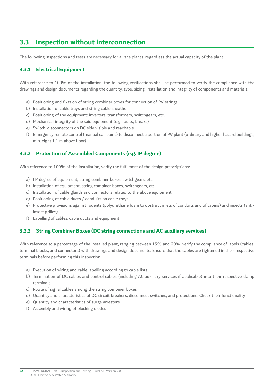### <span id="page-21-0"></span>**3.3 Inspection without interconnection**

The following inspections and tests are necessary for all the plants, regardless the actual capacity of the plant.

### **3.3.1 Electrical Equipment**

With reference to 100% of the installation, the following verifcations shall be performed to verify the compliance with the drawings and design documents regarding the quantity, type, sizing, installation and integrity of components and materials:

- a) Positioning and fixation of string combiner boxes for connection of PV strings
- b) Installation of cable trays and string cable sheaths
- c) Positioning of the equipment: inverters, transformers, switchgears, etc.
- d) Mechanical integrity of the said equipment (e.g. faults, breaks)
- e) Switch-disconnectors on DC side visible and reachable
- f) Emergency remote control (manual call point) to disconnect a portion of PV plant (ordinary and higher hazard buildings, min. eight 1.1 m above floor)

### **3.3.2 Protection of Assembled Components (e.g. IP degree)**

With reference to 100% of the installation, verify the fulflment of the design prescriptions:

- a) I P degree of equipment, string combiner boxes, switchgears, etc.
- b) Installation of equipment, string combiner boxes, switchgears, etc.
- c) Installation of cable glands and connectors related to the above equipment
- d) Positioning of cable ducts / conduits on cable trays
- e) Protective provisions against rodents (polyurethane foam to obstruct inlets of conduits and of cabins) and insects (antiinsect grilles)
- f) Labelling of cables, cable ducts and equipment

### **3.3.3 String Combiner Boxes (DC string connections and AC auxiliary services)**

With reference to a percentage of the installed plant, ranging between 15% and 20%, verify the compliance of labels (cables, terminal blocks, and connectors) with drawings and design documents. Ensure that the cables are tightened in their respective terminals before performing this inspection.

- a) Execution of wiring and cable labelling according to cable lists
- b) Termination of DC cables and control cables (including AC auxiliary services if applicable) into their respective clamp terminals
- c) Route of signal cables among the string combiner boxes
- d) Quantity and characteristics of DC circuit breakers, disconnect switches, and protections. Check their functionality
- e) Quantity and characteristics of surge arresters
- f) Assembly and wiring of blocking diodes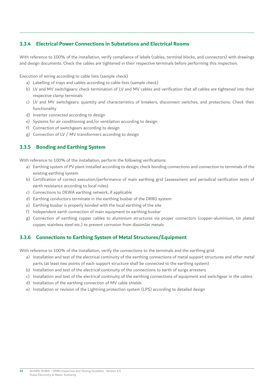### <span id="page-22-0"></span>**3.3.4 Electrical Power Connections in Substations and Electrical Rooms**

With reference to 100% of the installation, verify compliance of labels (cables, terminal blocks, and connectors) with drawings and design documents. Check the cables are tightened in their respective terminals before performing this inspection.

Execution of wiring according to cable lists (sample check)

- a) Labelling of trays and cables according to cable lists (sample check)
- b) LV and MV switchgears: check termination of LV and MV cables and verifcation that all cables are tightened into their respective clamp terminals
- c) LV and MV switchgears: quantity and characteristics of breakers, disconnect switches, and protections. Check their functionality
- d) Inverter connected according to design
- e) Systems for air conditioning and/or ventilation according to design
- f) Connection of switchgears according to design
- g) Connection of LV / MV transformers according to design

### **3.3.5 Bonding and Earthing System**

With reference to 100% of the installation, perform the following verifications:

- a) Earthing system of PV plant installed according to design; check bonding connections and connection to terminals of the existing earthing system
- b) Certifcation of correct execution/performance of main earthing grid (assessment and periodical verifcation tests of earth resistance according to local rules)
- c) Connections to DEWA earthing network, if applicable
- d) Earthing conductors terminate in the earthing busbar of the DRRG system
- e) Earthing busbar is properly bonded with the local earthing of the site
- f) Independent earth connection of main equipment to earthing busbar
- g) Connection of earthing copper cables to aluminium structures via proper connectors (copper-aluminium, tin plated copper, stainless steel etc.) to prevent corrosion from dissimilar metals

### **3.3.6 Connections to Earthing System of Metal Structures/Equipment**

With reference to 100% of the installation, verify the connections to the terminals and the earthing grid:

- a) Installation and test of the electrical continuity of the earthing connections of metal support structures and other metal parts (at least two points of each support structure shall be connected to the earthing system)
- b) Installation and test of the electrical continuity of the connections to earth of surge arresters
- c) Installation and test of the electrical continuity of the earthing connections of equipment and switchgear in the cabins
- d) Installation of the earthing connection of MV cable shields
- e) Installation or revision of the Lightning protection system (LPS) according to detailed design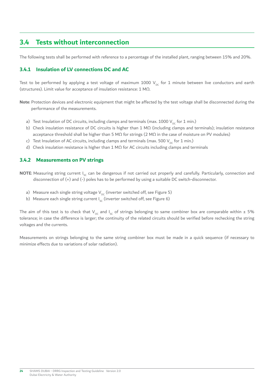### <span id="page-23-0"></span>**3.4 Tests without interconnection**

The following tests shall be performed with reference to a percentage of the installed plant, ranging between 15% and 20%.

### **3.4.1 Insulation of LV connections DC and AC**

Test to be performed by applying a test voltage of maximum 1000  $V_{pc}$  for 1 minute between live conductors and earth (structures). Limit value for acceptance of insulation resistance: 1 MΩ.

**Note**: Protection devices and electronic equipment that might be affected by the test voltage shall be disconnected during the performance of the measurements.

- a) Test Insulation of DC circuits, including clamps and terminals (max. 1000  $V_{DC}$  for 1 min.)
- b) Check insulation resistance of DC circuits is higher than 1 MΩ (including clamps and terminals); insulation resistance acceptance threshold shall be higher than 5 M $\Omega$  for strings (2 M $\Omega$  in the case of moisture on PV modules)
- c) Test Insulation of AC circuits, including clamps and terminals (max. 500  $V_{DC}$  for 1 min.)
- d) Check insulation resistance is higher than 1 MΩ for AC circuits including clamps and terminals

### **3.4.2 Measurements on PV strings**

- **NOTE**: Measuring string current I<sub>sc</sub> can be dangerous if not carried out properly and carefully. Particularly, connection and disconnection of (+) and (-) poles has to be performed by using a suitable DC switch-disconnector.
	- a) Measure each single string voltage  $V_{\text{DC}}$  (inverter switched off, see Figure 5)
	- b) Measure each single string current  $I_{sc}$  (inverter switched off, see Figure 6)

The aim of this test is to check that V<sub>oc</sub> and I<sub>sc</sub> of strings belonging to same combiner box are comparable within ± 5% tolerance; in case the difference is larger; the continuity of the related circuits should be verifed before rechecking the string voltages and the currents.

Measurements on strings belonging to the same string combiner box must be made in a quick sequence (if necessary to minimize effects due to variations of solar radiation).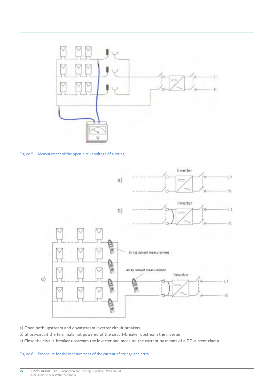

Figure 5 – Measurement of the open-circuit voltage of a string



- a) Open both upstream and downstream inverter circuit breakers
- b) Short-circuit the terminals not powered of the circuit-breaker upstream the inverter
- c) Close the circuit-breaker upstream the inverter and measure the current by means of a DC current clamp

#### Figure 6 – Procedure for the measurement of the current of strings and array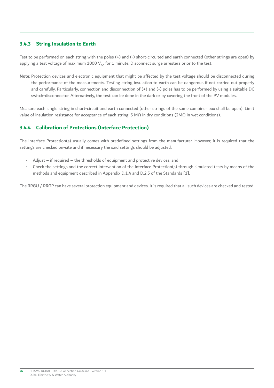### <span id="page-25-0"></span>**3.4.3 String Insulation to Earth**

Test to be performed on each string with the poles (+) and (-) short-circuited and earth connected (other strings are open) by applying a test voltage of maximum 1000  $V_{DC}$  for 1 minute. Disconnect surge arresters prior to the test.

**Note**: Protection devices and electronic equipment that might be affected by the test voltage should be disconnected during the performance of the measurements. Testing string insulation to earth can be dangerous if not carried out properly and carefully. Particularly, connection and disconnection of (+) and (-) poles has to be performed by using a suitable DC switch-disconnector. Alternatively, the test can be done in the dark or by covering the front of the PV modules.

Measure each single string in short-circuit and earth connected (other strings of the same combiner box shall be open). Limit value of insulation resistance for acceptance of each string: 5 MΩ in dry conditions (2MΩ in wet conditions).

### **3.4.4 Calibration of Protections (Interface Protection)**

The Interface Protection(s) usually comes with predefned settings from the manufacturer. However, it is required that the settings are checked on-site and if necessary the said settings should be adjusted.

- Adjust if required the thresholds of equipment and protective devices; and
- Check the settings and the correct intervention of the Interface Protection(s) through simulated tests by means of the methods and equipment described in Appendix D.1.4 and D.2.5 of the Standards [1].

The RRGU / RRGP can have several protection equipment and devices. It is required that all such devices are checked and tested.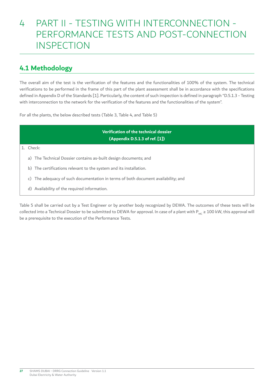## <span id="page-26-0"></span>4 PART II - TESTING WITH INTERCONNECTION - PERFORMANCE TESTS AND POST-CONNECTION **INSPECTION**

### **4.1 Methodology**

The overall aim of the test is the verifcation of the features and the functionalities of 100% of the system. The technical verifcations to be performed in the frame of this part of the plant assessment shall be in accordance with the specifcations defined in Appendix D of the Standards [1]. Particularly, the content of such inspection is defined in paragraph "D.5.1.3 - Testing with interconnection to the network for the verifcation of the features and the functionalities of the system".

For all the plants, the below described tests (Table 3, Table 4, and Table 5)

**Verifcation of the technical dossier (Appendix D.5.1.3 of ref. [1])** 

#### 1. Check:

- a) The Technical Dossier contains as-built design documents; and
- b) The certifications relevant to the system and its installation.
- c) The adequacy of such documentation in terms of both document availability; and
- d) Availability of the required information.

Table 5 shall be carried out by a Test Engineer or by another body recognized by DEWA. The outcomes of these tests will be collected into a Technical Dossier to be submitted to DEWA for approval. In case of a plant with  $P_{Mc} \ge 100$  kW, this approval will be a prerequisite to the execution of the Performance Tests.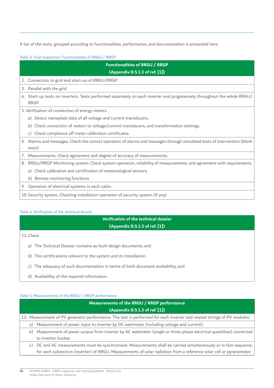A list of the tests, grouped according to functionalities, performance, and documentation is presented here.

Table 3: Final Inspection: Functionalities of RRGU / RRGP

| <b>Functionalities of RRGU / RRGP</b>                                                                                                   |  |  |  |  |  |  |
|-----------------------------------------------------------------------------------------------------------------------------------------|--|--|--|--|--|--|
| (Appendix D.5.1.3 of ref. [1])                                                                                                          |  |  |  |  |  |  |
| 2. Connection to grid and start-up of RRGU/RRGP                                                                                         |  |  |  |  |  |  |
| 3. Parallel with the grid                                                                                                               |  |  |  |  |  |  |
| 4. Start-up tests on inverters. Tests performed separately on each inverter and progressively throughout the whole RRGU/<br><b>RRGP</b> |  |  |  |  |  |  |
| 5. Verification of connection of energy meters.                                                                                         |  |  |  |  |  |  |
| a) Detect nameplate data of all voltage and current transducers.                                                                        |  |  |  |  |  |  |
| b) Check connection of meters to voltage/current transducers, and transformation settings.                                              |  |  |  |  |  |  |
| c) Check compliance off meter calibration certificates.                                                                                 |  |  |  |  |  |  |
| 6. Alarms and messages. Check the correct operation of alarms and messages through simulated tests of intervention (blank<br>tests)     |  |  |  |  |  |  |
| 7. Measurements. Check agreement and degree of accuracy of measurements.                                                                |  |  |  |  |  |  |
| RRGU/RRGP Monitoring system. Check system operation, reliability of measurements, and agreement with requirements.<br>8.                |  |  |  |  |  |  |
| a) Check calibration and certification of meteorological sensors.                                                                       |  |  |  |  |  |  |
| b) Remote monitoring functions                                                                                                          |  |  |  |  |  |  |
| 9. Operation of electrical systems in each cabin.                                                                                       |  |  |  |  |  |  |
| 10. Security system. Checking installation operation of security system (if any)                                                        |  |  |  |  |  |  |

#### Table 4: Verifcation of the technical dossier

### **Verifcation of the technical dossier (Appendix D.5.1.3 of ref. [1])**

11. Check

- a) The Technical Dossier contains as-built design documents; and
- b) The certifications relevant to the system and its installation.
- c) The adequacy of such documentation in terms of both document availability; and
- d) Availability of the required information.

### Table 5: Measurements of the RRGU / RRGP performance

| Measurements of the RRGU / RRGP performance                                                                             |                                                                                                                     |  |  |  |  |  |
|-------------------------------------------------------------------------------------------------------------------------|---------------------------------------------------------------------------------------------------------------------|--|--|--|--|--|
| (Appendix D.5.1.3 of ref. [1])                                                                                          |                                                                                                                     |  |  |  |  |  |
| 12. Measurement of PV generator performance. The test is performed for each inverter and related strings of PV modules. |                                                                                                                     |  |  |  |  |  |
|                                                                                                                         | a) Measurement of power input to inverter by DC wattmeter (including voltage and current).                          |  |  |  |  |  |
| Measurement of power output from inverter by AC wattmeter (single or three-phase electrical quantities) connected<br>b) |                                                                                                                     |  |  |  |  |  |
|                                                                                                                         | to inverter busbar.                                                                                                 |  |  |  |  |  |
|                                                                                                                         | c) DC and AC measurements must be synchronized. Measurements shall be carried simultaneously or in fast sequence,   |  |  |  |  |  |
|                                                                                                                         | for each subsection (inverter) of RRGU. Measurements of solar radiation from a reference solar cell or pyranometer. |  |  |  |  |  |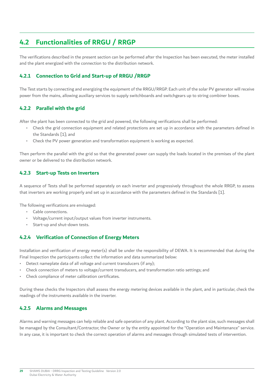### <span id="page-28-0"></span>**4.2 Functionalities of RRGU / RRGP**

The verifcations described in the present section can be performed after the Inspection has been executed, the meter installed and the plant energized with the connection to the distribution network.

### **4.2.1 Connection to Grid and Start-up of RRGU /RRGP**

The Test starts by connecting and energizing the equipment of the RRGU/RRGP. Each unit of the solar PV generator will receive power from the mains, allowing auxiliary services to supply switchboards and switchgears up to string combiner boxes.

### **4.2.2 Parallel with the grid**

After the plant has been connected to the grid and powered, the following verifcations shall be performed:

- Check the grid connection equipment and related protections are set up in accordance with the parameters defned in the Standards [1]; and
- Check the PV power generation and transformation equipment is working as expected.

Then perform the parallel with the grid so that the generated power can supply the loads located in the premises of the plant owner or be delivered to the distribution network.

### **4.2.3 Start-up Tests on Inverters**

A sequence of Tests shall be performed separately on each inverter and progressively throughout the whole RRGP, to assess that inverters are working properly and set up in accordance with the parameters defned in the Standards [1].

The following verifications are envisaged:

- Cable connections.
- Voltage/current input/output values from inverter instruments.
- Start-up and shut-down tests.

#### **4.2.4 Verifcation of Connection of Energy Meters**

Installation and verifcation of energy meter(s) shall be under the responsibility of DEWA. It is recommended that during the Final Inspection the participants collect the information and data summarized below:

- Detect nameplate data of all voltage and current transducers (if any);
- Check connection of meters to voltage/current transducers, and transformation ratio settings; and
- Check compliance of meter calibration certificates.

During these checks the Inspectors shall assess the energy metering devices available in the plant, and in particular, check the readings of the instruments available in the inverter.

#### **4.2.5 Alarms and Messages**

Alarms and warning messages can help reliable and safe operation of any plant. According to the plant size, such messages shall be managed by the Consultant/Contractor, the Owner or by the entity appointed for the "Operation and Maintenance" service. In any case, it is important to check the correct operation of alarms and messages through simulated tests of intervention.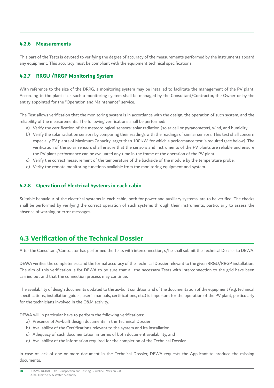#### <span id="page-29-0"></span>**4.2.6 Measurements**

This part of the Tests is devoted to verifying the degree of accuracy of the measurements performed by the instruments aboard any equipment. This accuracy must be compliant with the equipment technical specifcations.

### **4.2.7 RRGU /RRGP Monitoring System**

With reference to the size of the DRRG, a monitoring system may be installed to facilitate the management of the PV plant. According to the plant size, such a monitoring system shall be managed by the Consultant/Contractor, the Owner or by the entity appointed for the "Operation and Maintenance" service.

The Test allows verifcation that the monitoring system is in accordance with the design, the operation of such system, and the reliability of the measurements. The following verifications shall be performed:

- a) Verify the certifcation of the meteorological sensors: solar radiation (solar cell or pyranometer), wind, and humidity.
- b) Verify the solar radiation sensors by comparing their readings with the readings of similar sensors. This test shall concern especially PV plants of Maximum Capacity larger than 100 kW, for which a performance test is required (see below). The verifcation of the solar sensors shall ensure that the sensors and instruments of the PV plants are reliable and ensure the PV plant performance can be evaluated any time in the frame of the operation of the PV plant.
- c) Verify the correct measurement of the temperature of the backside of the module by the temperature probe.
- d) Verify the remote monitoring functions available from the monitoring equipment and system.

#### **4.2.8 Operation of Electrical Systems in each cabin**

Suitable behaviour of the electrical systems in each cabin, both for power and auxiliary systems, are to be verifed. The checks shall be performed by verifying the correct operation of such systems through their instruments, particularly to assess the absence of warning or error messages.

### **4.3 Verifcation of the Technical Dossier**

After the Consultant/Contractor has performed the Tests with interconnection, s/he shall submit the Technical Dossier to DEWA.

DEWA verifes the completeness and the formal accuracy of the Technical Dossier relevant to the given RRGU/RRGP installation. The aim of this verifcation is for DEWA to be sure that all the necessary Tests with Interconnection to the grid have been carried out and that the connection process may continue.

The availability of design documents updated to the as-built condition and of the documentation of the equipment (e.g. technical specifications, installation guides, user's manuals, certifications, etc.) is important for the operation of the PV plant, particularly for the technicians involved in the O&M activity.

DEWA will in particular have to perform the following verifications:

- a) Presence of As-built design documents in the Technical Dossier;
- b) Availability of the Certifications relevant to the system and its installation,
- c) Adequacy of such documentation in terms of both document availability, and
- d) Availability of the information required for the completion of the Technical Dossier.

In case of lack of one or more document in the Technical Dossier, DEWA requests the Applicant to produce the missing documents.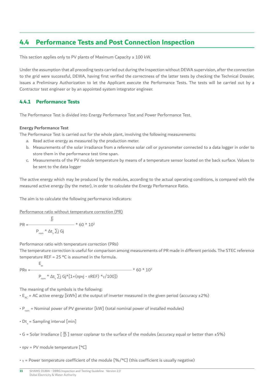### <span id="page-30-0"></span>**4.4 Performance Tests and Post Connection Inspection**

This section applies only to PV plants of Maximum Capacity ≥ 100 kW.

Under the assumption that all preceding tests carried out during the Inspection without DEWA supervision, after the connection to the grid were successful, DEWA, having frst verifed the correctness of the latter tests by checking the Technical Dossier, issues a Preliminary Authorization to let the Applicant execute the Performance Tests. The tests will be carried out by a Contractor test engineer or by an appointed system integrator engineer.

### **4.4.1 Performance Tests**

The Performance Test is divided into Energy Performance Test and Power Performance Test.

#### **Energy Performance Test**

The Performance Test is carried out for the whole plant, involving the following measurements:

- a. Read active energy as measured by the production meter.
- b. Measurements of the solar irradiance from a reference solar cell or pyranometer connected to a data logger in order to store them in the performance test time span.
- c. Measurements of the PV module temperature by means of a temperature sensor located on the back surface. Values to be sent to the data logger

The active energy which may be produced by the modules, according to the actual operating conditions, is compared with the measured active energy (by the meter), in order to calculate the Energy Performance Ratio.

The aim is to calculate the following performance indicators:

Performance ratio without temperature correction (PR)

PR = 
$$
\frac{\frac{E}{ac}}{P_{nom} * \Delta t_s \sum j Gj} \times 60 * 10^3
$$

Performance ratio with temperature correction (PRθ)

The temperature correction is useful for comparison among measurements of PR made in different periods. The STEC reference temperature REF =  $25$  °C is assumed in the formula.

$$
PR_{\theta} = \frac{E_{ac}}{P_{nom} * \Delta t_s \sum j Gj * [1 + (\theta p vj - \theta REF) * \gamma/100]}) * 60 * 10^3
$$

The meaning of the symbols is the following:

•  $E_{ac}$  = AC active energy [kWh] at the output of inverter measured in the given period (accuracy  $\pm 2\%$ )

 $\cdot$  P<sub>nom</sub> = Nominal power of PV generator [kW] (total nominal power of installed modules)

- $Dt_{\rm s}$  = Sampling interval [min]
- G = Solar Irradiance [  $\frac{W}{m^2}$ ] sensor coplanar to the surface of the modules (accuracy equal or better than ±5%)
- θpv = PV module temperature [°C]
- $y =$  Power temperature coefficient of the module  $[%$  / $°C]$  (this coefficient is usually negative)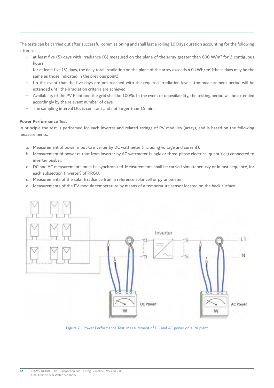The tests can be carried out after successful commissioning and shall last a rolling 10 Days duration accounting for the following criteria:

- at least five (5) days with irradiance (G) measured on the plane of the array greater than 600 W/m<sup>2</sup> for 3 contiguous hours
- for at least five (5) days, the daily total irradiation on the plane of the array exceeds 4.0 kWh/m<sup>2</sup> (these days may be the same as those indicated in the previous point).
- I n the event that the five days are not reached with the required irradiation levels, the measurement period will be extended until the irradiation criteria are achieved.
- Availability of the PV Plant and the grid shall be 100%. In the event of unavailability, the testing period will be extended accordingly by the relevant number of days.
- The sampling interval Dts is constant and not larger than 15 min.

#### **Power Performance Test**

In principle the test is performed for each inverter and related strings of PV modules (array), and is based on the following measurements.

- a. Measurement of power input to inverter by DC wattmeter (including voltage and current).
- b. Measurement of power output from inverter by AC wattmeter (single or three-phase electrical quantities) connected to inverter busbar.
- c. DC and AC measurements must be synchronized. Measurements shall be carried simultaneously or in fast sequence, for each subsection (inverter) of RRGU.
- d. Measurements of the solar Irradiance from a reference solar cell or pyranometer.
- e. Measurements of the PV module temperature by means of a temperature sensor located on the back surface



Figure 7 - Power Performance Test. Measurement of DC and AC power on a PV plant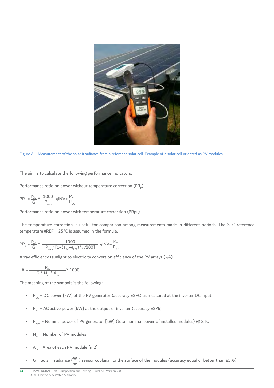

Figure 8 – Measurement of the solar irradiance from a reference solar cell. Example of a solar cell oriented as PV modules

The aim is to calculate the following performance indicators:

Performance ratio on power without temperature correction  $(\mathsf{PR}_\mathsf{p})$ 

$$
PR_p = \frac{P_{AC}}{G} * \frac{1000}{P_{nom}} \eta INV = \frac{P_{AC}}{P_{DC}}
$$

Performance ratio on power with temperature correction (PRpθ)

The temperature correction is useful for comparison among measurements made in different periods. The STC reference temperature θREF = 25°C is assumed in the formula.

$$
PR_{p} = \frac{P_{AC}}{G} * \frac{1000}{P_{nom} * [1 + (\theta_{pv} - \theta_{REF}) * \gamma / 100]} \eta INV = \frac{P_{AC}}{P_{DC}}
$$

Array efficiency (sunlight to electricity conversion efficiency of the PV array) ( $nA$ )

$$
\eta A = \frac{P_{AC}}{G * N_m * A_m} * 1000
$$

The meaning of the symbols is the following:

- $P_{\text{DC}}$  = DC power [kW] of the PV generator (accuracy ±2%) as measured at the inverter DC input
- $P_{AC}$  = AC active power [kW] at the output of inverter (accuracy  $\pm 2\%$ )
- $P_{\text{nom}}$  = Nominal power of PV generator [kW] (total nominal power of installed modules) @ STC
- $N_m$  = Number of PV modules
- $A_m$  = Area of each PV module [m2]
- G = Solar Irradiance  $(\frac{W}{m^2})$  sensor coplanar to the surface of the modules (accuracy equal or better than ±5%)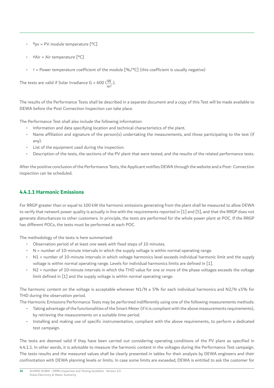- <span id="page-33-0"></span>•  $θ$ <sub>pv</sub> = PV module temperature  $[°C]$
- θAir = Air temperature [°C]
- $y = Power$  temperature coefficient of the module  $[\% / \degree C]$  (this coefficient is usually negative)

The tests are valid if Solar Irradiance G > 600 ( $\frac{W}{m^2}$ ).

The results of the Performance Tests shall be described in a separate document and a copy of this Test will be made available to DEWA before the Post Connection Inspection can take place.

The Performance Test shall also include the following information:

- Information and data specifying location and technical characteristics of the plant.
- Name affliation and signature of the person(s) undertaking the measurements, and those participating to the test (if any).
- List of the equipment used during the inspection.
- Description of the tests, the sections of the PV plant that were tested, and the results of the related performance tests.

After the positive conclusion of the Performance Tests, the Applicant notifes DEWA through the website and a Post- Connection inspection can be scheduled.

### **4.4.1.1 Harmonic Emissions**

For RRGP greater than or equal to 100 kW the harmonic emissions generating from the plant shall be measured to allow DEWA to verify that network power quality is actually in line with the requirements reported in [1] and [5], and that the RRGP does not generate disturbances to other customers. In principle, the tests are performed for the whole power plant at POC. If the RRGP has different POCs, the tests must be performed at each POC.

The methodology of the tests is here summarised:

- Observation period of at least one week with fixed steps of 10 minutes.
- N = number of 10-minute intervals in which the supply voltage is within normal operating range.
- N1 = number of 10-minute intervals in which voltage harmonics level exceeds individual harmonic limit and the supply voltage is within normal operating range. Levels for individual harmonics limits are defned in [1].
- N2 = number of 10-minute intervals in which the THD value for one or more of the phase voltages exceeds the voltage limit defined in [1] and the supply voltage is within normal operating range.

The harmonic content on the voltage is acceptable whenever  $N1/N \le 5\%$  for each individual harmonics and  $N2/N \le 5\%$  for THD during the observation period.

The Harmonic Emissions Performance Tests may be performed indifferently using one of the following measurements methods:

- Taking advantage of the functionalities of the Smart Meter (if it is compliant with the above measurements requirements), by retrieving the measurements on a suitable time period.
- Installing and making use of specific instrumentation, compliant with the above requirements, to perform a dedicated test campaign.

The tests are deemed valid if they have been carried out considering operating conditions of the PV plant as specifed in 4.4.1.1. In other words, it is advisable to measure the harmonic content in the voltages during the Performance Test campaign. The tests results and the measured values shall be clearly presented in tables for their analysis by DEWA engineers and their confrontation with DEWA planning levels or limits. In case some limits are exceeded, DEWA is entitled to ask the customer for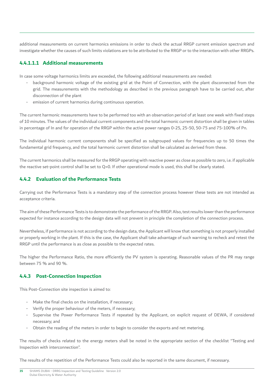<span id="page-34-0"></span>additional measurements on current harmonics emissions in order to check the actual RRGP current emission spectrum and investigate whether the causes of such limits violations are to be attributed to the RRGP or to the interaction with other RRGPs.

### **4.4.1.1.1 Additional measurements**

In case some voltage harmonics limits are exceeded, the following additional measurements are needed:

- background harmonic voltage of the existing grid at the Point of Connection, with the plant disconnected from the grid. The measurements with the methodology as described in the previous paragraph have to be carried out, after disconnection of the plant
- emission of current harmonics during continuous operation.

The current harmonic measurements have to be performed too with an observation period of at least one week with fxed steps of 10 minutes. The values of the individual current components and the total harmonic current distortion shall be given in tables in percentage of In and for operation of the RRGP within the active power ranges 0-25, 25-50, 50-75 and 75-100% of Pn.

The individual harmonic current components shall be specifed as subgrouped values for frequencies up to 50 times the fundamental grid frequency, and the total harmonic current distortion shall be calculated as derived from these.

The current harmonics shall be measured for the RRGP operating with reactive power as close as possible to zero, i.e. if applicable the reactive set-point control shall be set to Q=0. If other operational mode is used, this shall be clearly stated.

### **4.4.2 Evaluation of the Performance Tests**

Carrying out the Performance Tests is a mandatory step of the connection process however these tests are not intended as acceptance criteria.

The aim of these Performance Tests is to demonstrate the performance of the RRGP. Also, test results lower than the performance expected for instance according to the design data will not prevent in principle the completion of the connection process.

Nevertheless, if performance is not according to the design data, the Applicant will know that something is not properly installed or properly working in the plant. If this is the case, the Applicant shall take advantage of such warning to recheck and retest the RRGP until the performance is as close as possible to the expected rates.

The higher the Performance Ratio, the more efficiently the PV system is operating. Reasonable values of the PR may range between 75 % and 90 %.

### **4.4.3 Post-Connection Inspection**

This Post-Connection site inspection is aimed to:

- Make the final checks on the installation, if necessary;
- Verify the proper behaviour of the meters, if necessary;
- Supervise the Power Performance Tests if repeated by the Applicant, on explicit request of DEWA, if considered necessary; and
- Obtain the reading of the meters in order to begin to consider the exports and net metering.

The results of checks related to the energy meters shall be noted in the appropriate section of the checklist "Testing and Inspection with interconnection".

The results of the repetition of the Performance Tests could also be reported in the same document, if necessary.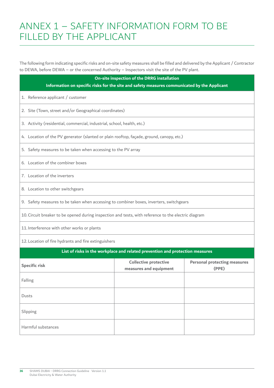## <span id="page-35-0"></span>ANNEX 1 – SAFETY INFORMATION FORM TO BE FILLED BY THE APPLICANT

The following form indicating specific risks and on-site safety measures shall be filled and delivered by the Applicant / Contractor to DEWA, before DEWA – or the concerned Authority – Inspectors visit the site of the PV plant.

| On-site inspection of the DRRG installation                                                          |                                                                               |                                              |  |  |  |  |  |
|------------------------------------------------------------------------------------------------------|-------------------------------------------------------------------------------|----------------------------------------------|--|--|--|--|--|
| Information on specific risks for the site and safety measures communicated by the Applicant         |                                                                               |                                              |  |  |  |  |  |
| 1. Reference applicant / customer                                                                    |                                                                               |                                              |  |  |  |  |  |
| 2. Site (Town, street and/or Geographical coordinates)                                               |                                                                               |                                              |  |  |  |  |  |
| 3. Activity (residential, commercial, industrial, school, health, etc.)                              |                                                                               |                                              |  |  |  |  |  |
| 4. Location of the PV generator (slanted or plain rooftop, façade, ground, canopy, etc.)             |                                                                               |                                              |  |  |  |  |  |
| 5. Safety measures to be taken when accessing to the PV array                                        |                                                                               |                                              |  |  |  |  |  |
| 6. Location of the combiner boxes                                                                    |                                                                               |                                              |  |  |  |  |  |
| 7. Location of the inverters                                                                         |                                                                               |                                              |  |  |  |  |  |
| 8. Location to other switchgears                                                                     |                                                                               |                                              |  |  |  |  |  |
| 9. Safety measures to be taken when accessing to combiner boxes, inverters, switchgears              |                                                                               |                                              |  |  |  |  |  |
| 10. Circuit breaker to be opened during inspection and tests, with reference to the electric diagram |                                                                               |                                              |  |  |  |  |  |
| 11. Interference with other works or plants                                                          |                                                                               |                                              |  |  |  |  |  |
| 12. Location of fire hydrants and fire extinguishers                                                 |                                                                               |                                              |  |  |  |  |  |
|                                                                                                      | List of risks in the workplace and related prevention and protection measures |                                              |  |  |  |  |  |
| <b>Specific risk</b>                                                                                 | <b>Collective protective</b><br>measures and equipment                        | <b>Personal protecting measures</b><br>(PPE) |  |  |  |  |  |
| Falling                                                                                              |                                                                               |                                              |  |  |  |  |  |
| Dusts                                                                                                |                                                                               |                                              |  |  |  |  |  |
| Slipping                                                                                             |                                                                               |                                              |  |  |  |  |  |
| Harmful substances                                                                                   |                                                                               |                                              |  |  |  |  |  |